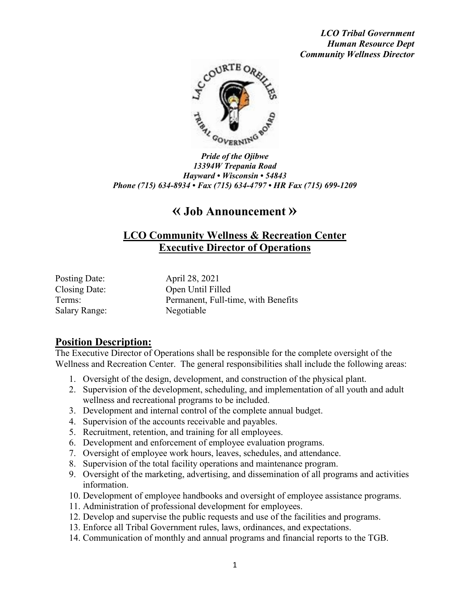*LCO Tribal Government Human Resource Dept Community Wellness Director*



*Pride of the Ojibwe 13394W Trepania Road Hayward • Wisconsin • 54843 Phone (715) 634-8934 • Fax (715) 634-4797 • HR Fax (715) 699-1209*

# **« Job Announcement »**

## **LCO Community Wellness & Recreation Center Executive Director of Operations**

Posting Date: April 28, 2021 Salary Range: Negotiable

Closing Date: Open Until Filled Terms: Permanent, Full-time, with Benefits

#### **Position Description:**

The Executive Director of Operations shall be responsible for the complete oversight of the Wellness and Recreation Center. The general responsibilities shall include the following areas:

- 1. Oversight of the design, development, and construction of the physical plant.
- 2. Supervision of the development, scheduling, and implementation of all youth and adult wellness and recreational programs to be included.
- 3. Development and internal control of the complete annual budget.
- 4. Supervision of the accounts receivable and payables.
- 5. Recruitment, retention, and training for all employees.
- 6. Development and enforcement of employee evaluation programs.
- 7. Oversight of employee work hours, leaves, schedules, and attendance.
- 8. Supervision of the total facility operations and maintenance program.
- 9. Oversight of the marketing, advertising, and dissemination of all programs and activities information.
- 10. Development of employee handbooks and oversight of employee assistance programs.
- 11. Administration of professional development for employees.
- 12. Develop and supervise the public requests and use of the facilities and programs.
- 13. Enforce all Tribal Government rules, laws, ordinances, and expectations.
- 14. Communication of monthly and annual programs and financial reports to the TGB.